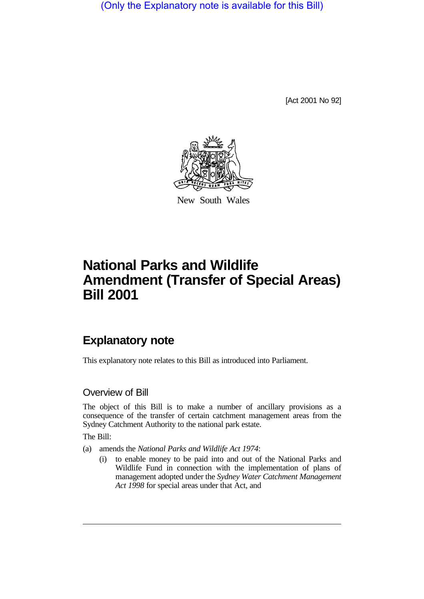(Only the Explanatory note is available for this Bill)

[Act 2001 No 92]



New South Wales

# **National Parks and Wildlife Amendment (Transfer of Special Areas) Bill 2001**

# **Explanatory note**

This explanatory note relates to this Bill as introduced into Parliament.

### Overview of Bill

The object of this Bill is to make a number of ancillary provisions as a consequence of the transfer of certain catchment management areas from the Sydney Catchment Authority to the national park estate.

The Bill:

(a) amends the *National Parks and Wildlife Act 1974*:

(i) to enable money to be paid into and out of the National Parks and Wildlife Fund in connection with the implementation of plans of management adopted under the *Sydney Water Catchment Management Act 1998* for special areas under that Act, and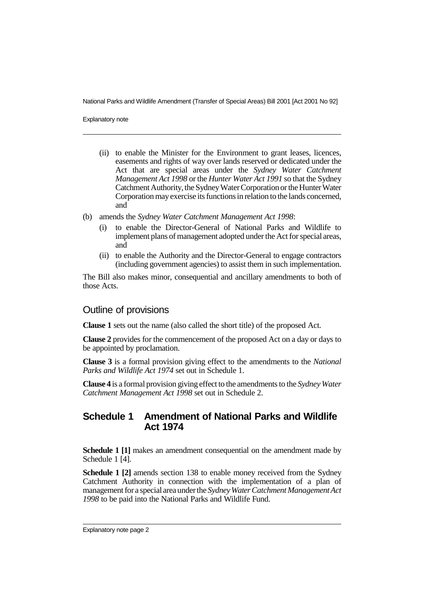National Parks and Wildlife Amendment (Transfer of Special Areas) Bill 2001 [Act 2001 No 92]

Explanatory note

- (ii) to enable the Minister for the Environment to grant leases, licences, easements and rights of way over lands reserved or dedicated under the Act that are special areas under the *Sydney Water Catchment Management Act 1998* or the *Hunter Water Act 1991* so that the Sydney Catchment Authority, the Sydney Water Corporation or the Hunter Water Corporation may exercise its functions in relation to the lands concerned, and
- (b) amends the *Sydney Water Catchment Management Act 1998*:
	- (i) to enable the Director-General of National Parks and Wildlife to implement plans of management adopted under the Act for special areas, and
	- (ii) to enable the Authority and the Director-General to engage contractors (including government agencies) to assist them in such implementation.

The Bill also makes minor, consequential and ancillary amendments to both of those Acts.

#### Outline of provisions

**Clause 1** sets out the name (also called the short title) of the proposed Act.

**Clause 2** provides for the commencement of the proposed Act on a day or days to be appointed by proclamation.

**Clause 3** is a formal provision giving effect to the amendments to the *National Parks and Wildlife Act 1974* set out in Schedule 1.

**Clause 4** is a formal provision giving effect to the amendments to the *Sydney Water Catchment Management Act 1998* set out in Schedule 2.

# **Schedule 1 Amendment of National Parks and Wildlife Act 1974**

**Schedule 1 [1]** makes an amendment consequential on the amendment made by Schedule 1 [4].

**Schedule 1 [2]** amends section 138 to enable money received from the Sydney Catchment Authority in connection with the implementation of a plan of management for a special area under the *Sydney Water Catchment Management Act 1998* to be paid into the National Parks and Wildlife Fund.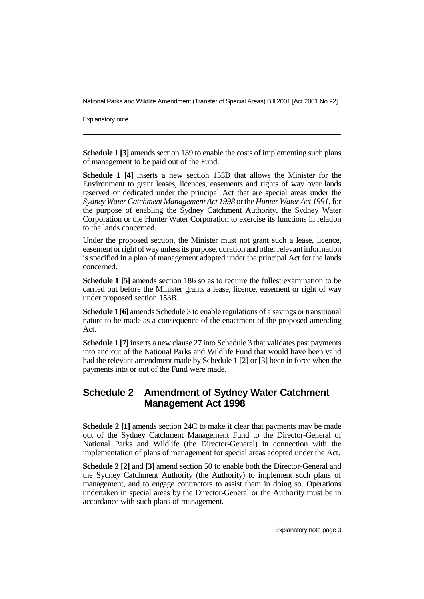National Parks and Wildlife Amendment (Transfer of Special Areas) Bill 2001 [Act 2001 No 92]

Explanatory note

**Schedule 1 [3]** amends section 139 to enable the costs of implementing such plans of management to be paid out of the Fund.

**Schedule 1 [4]** inserts a new section 153B that allows the Minister for the Environment to grant leases, licences, easements and rights of way over lands reserved or dedicated under the principal Act that are special areas under the *Sydney Water Catchment Management Act 1998* or the *Hunter Water Act 1991*, for the purpose of enabling the Sydney Catchment Authority, the Sydney Water Corporation or the Hunter Water Corporation to exercise its functions in relation to the lands concerned.

Under the proposed section, the Minister must not grant such a lease, licence, easement or right of way unless its purpose, duration and other relevant information is specified in a plan of management adopted under the principal Act for the lands concerned.

**Schedule 1 [5]** amends section 186 so as to require the fullest examination to be carried out before the Minister grants a lease, licence, easement or right of way under proposed section 153B.

**Schedule 1 [6]** amends Schedule 3 to enable regulations of a savings or transitional nature to be made as a consequence of the enactment of the proposed amending Act.

**Schedule 1 [7]** inserts a new clause 27 into Schedule 3 that validates past payments into and out of the National Parks and Wildlife Fund that would have been valid had the relevant amendment made by Schedule 1 [2] or [3] been in force when the payments into or out of the Fund were made.

# **Schedule 2 Amendment of Sydney Water Catchment Management Act 1998**

**Schedule 2 [1]** amends section 24C to make it clear that payments may be made out of the Sydney Catchment Management Fund to the Director-General of National Parks and Wildlife (the Director-General) in connection with the implementation of plans of management for special areas adopted under the Act.

**Schedule 2 [2]** and **[3]** amend section 50 to enable both the Director-General and the Sydney Catchment Authority (the Authority) to implement such plans of management, and to engage contractors to assist them in doing so. Operations undertaken in special areas by the Director-General or the Authority must be in accordance with such plans of management.